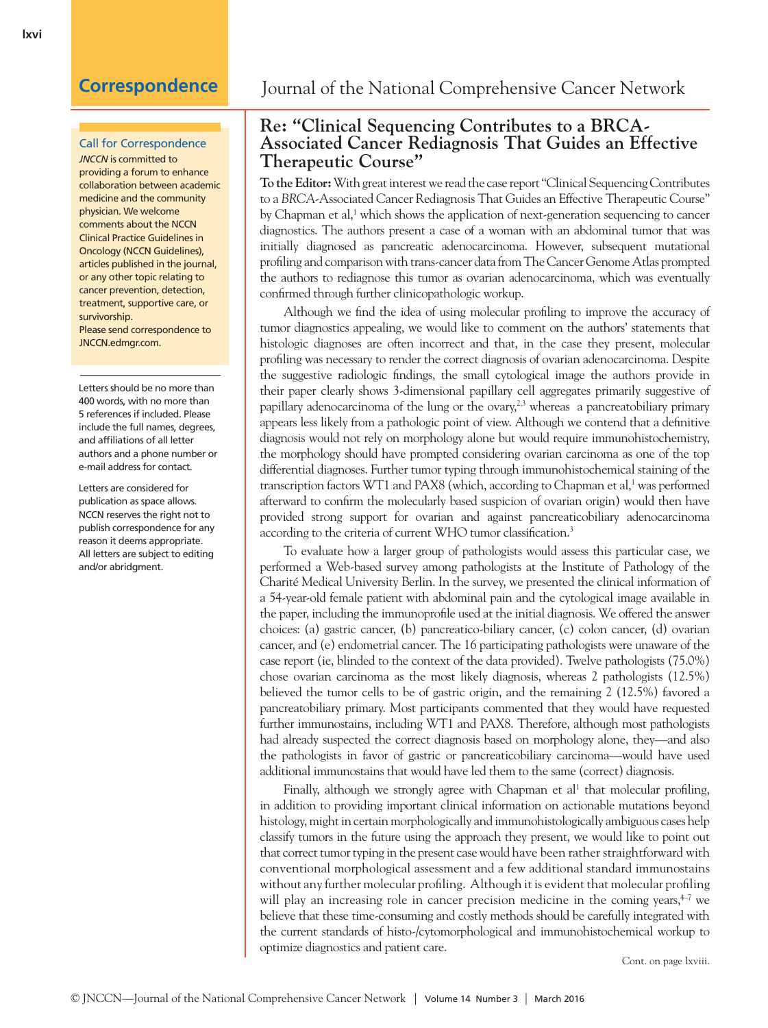### Call for Correspondence

*JNCCN* is committed to providing a forum to enhance collaboration between academic medicine and the community physician. We welcome comments about the NCCN Clinical Practice Guidelines in Oncology (NCCN Guidelines), articles published in the journal, or any other topic relating to cancer prevention, detection, treatment, supportive care, or survivorship. Please send correspondence to JNCCN.edmgr.com.

Letters should be no more than 400 words, with no more than 5 references if included. Please include the full names, degrees, and affiliations of all letter authors and a phone number or e-mail address for contact.

Letters are considered for publication as space allows. NCCN reserves the right not to publish correspondence for any reason it deems appropriate. All letters are subject to editing and/or abridgment.

# **Correspondence** Journal of the National Comprehensive Cancer Network

## **Re: "Clinical Sequencing Contributes to a BRCA-Associated Cancer Rediagnosis That Guides an Effective Therapeutic Course"**

**To the Editor:** With great interest we read the case report "Clinical Sequencing Contributes to a *BRCA*-Associated Cancer Rediagnosis That Guides an Effective Therapeutic Course" by Chapman et al,<sup>1</sup> which shows the application of next-generation sequencing to cancer diagnostics. The authors present a case of a woman with an abdominal tumor that was initially diagnosed as pancreatic adenocarcinoma. However, subsequent mutational profiling and comparison with trans-cancer data from The Cancer Genome Atlas prompted the authors to rediagnose this tumor as ovarian adenocarcinoma, which was eventually confirmed through further clinicopathologic workup.

Although we find the idea of using molecular profiling to improve the accuracy of tumor diagnostics appealing, we would like to comment on the authors' statements that histologic diagnoses are often incorrect and that, in the case they present, molecular profiling was necessary to render the correct diagnosis of ovarian adenocarcinoma. Despite the suggestive radiologic findings, the small cytological image the authors provide in their paper clearly shows 3-dimensional papillary cell aggregates primarily suggestive of papillary adenocarcinoma of the lung or the ovary, $2,3$  whereas a pancreatobiliary primary appears less likely from a pathologic point of view. Although we contend that a definitive diagnosis would not rely on morphology alone but would require immunohistochemistry, the morphology should have prompted considering ovarian carcinoma as one of the top differential diagnoses. Further tumor typing through immunohistochemical staining of the transcription factors WT1 and PAX8 (which, according to Chapman et al,<sup>1</sup> was performed afterward to confirm the molecularly based suspicion of ovarian origin) would then have provided strong support for ovarian and against pancreaticobiliary adenocarcinoma according to the criteria of current WHO tumor classification.3

To evaluate how a larger group of pathologists would assess this particular case, we performed a Web-based survey among pathologists at the Institute of Pathology of the Charité Medical University Berlin. In the survey, we presented the clinical information of a 54-year-old female patient with abdominal pain and the cytological image available in the paper, including the immunoprofile used at the initial diagnosis. We offered the answer choices: (a) gastric cancer, (b) pancreatico-biliary cancer, (c) colon cancer, (d) ovarian cancer, and (e) endometrial cancer. The 16 participating pathologists were unaware of the case report (ie, blinded to the context of the data provided). Twelve pathologists (75.0%) chose ovarian carcinoma as the most likely diagnosis, whereas 2 pathologists (12.5%) believed the tumor cells to be of gastric origin, and the remaining 2 (12.5%) favored a pancreatobiliary primary. Most participants commented that they would have requested further immunostains, including WT1 and PAX8. Therefore, although most pathologists had already suspected the correct diagnosis based on morphology alone, they—and also the pathologists in favor of gastric or pancreaticobiliary carcinoma—would have used additional immunostains that would have led them to the same (correct) diagnosis.

Finally, although we strongly agree with Chapman et al<sup>1</sup> that molecular profiling, in addition to providing important clinical information on actionable mutations beyond histology, might in certain morphologically and immunohistologically ambiguous cases help classify tumors in the future using the approach they present, we would like to point out that correct tumor typing in the present case would have been rather straightforward with conventional morphological assessment and a few additional standard immunostains without any further molecular profiling. Although it is evident that molecular profiling will play an increasing role in cancer precision medicine in the coming years, $47$  we believe that these time-consuming and costly methods should be carefully integrated with the current standards of histo-/cytomorphological and immunohistochemical workup to optimize diagnostics and patient care.

Cont. on page lxviii.